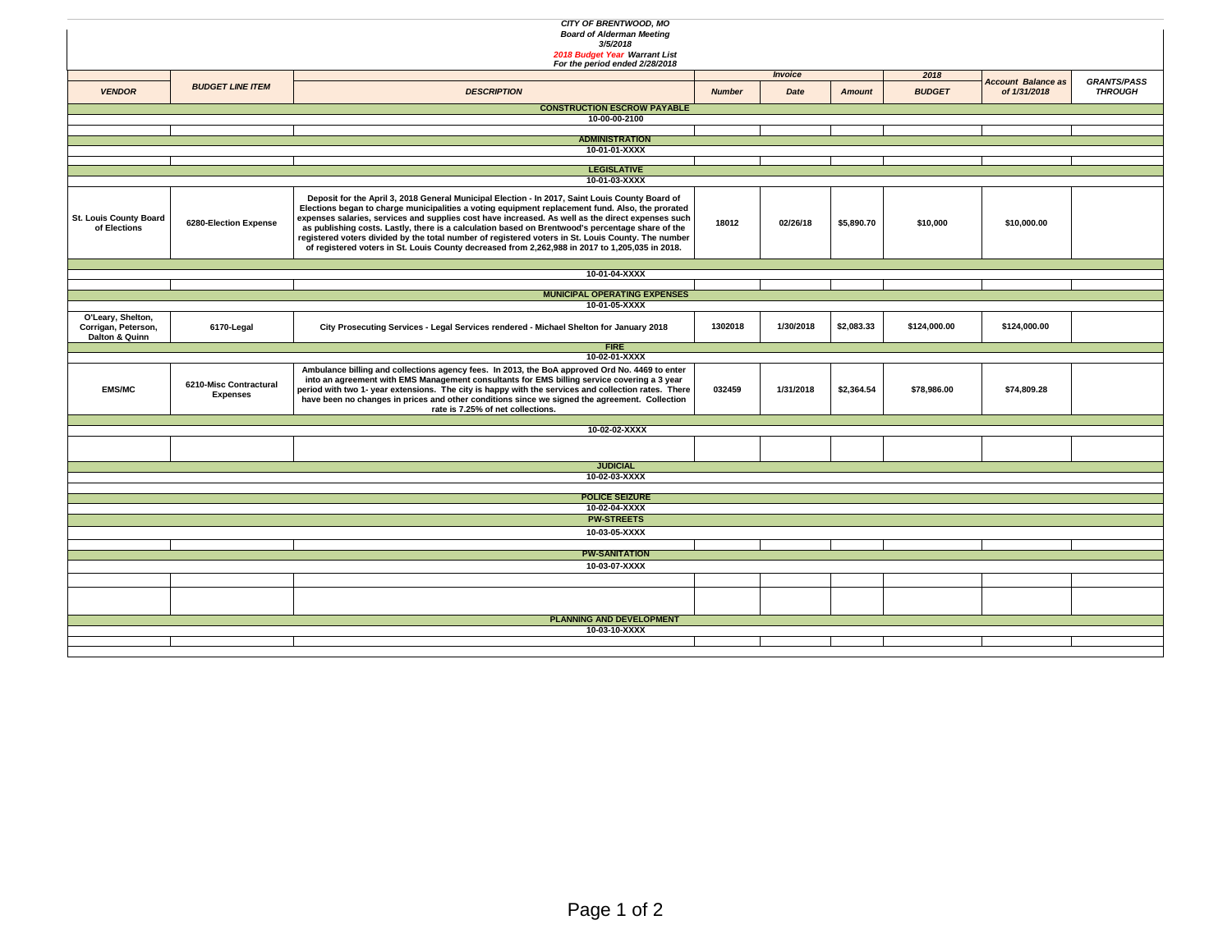| CITY OF BRENTWOOD, MO<br><b>Board of Alderman Meeting</b><br>3/5/2018<br>2018 Budget Year Warrant List<br>For the period ended 2/28/2018 |                                           |                                                                                                                                                                                                                                                                                                                                                                                                                                                                                                                                                                                                                       |               |                                  |            |                       |                                           |                                      |  |
|------------------------------------------------------------------------------------------------------------------------------------------|-------------------------------------------|-----------------------------------------------------------------------------------------------------------------------------------------------------------------------------------------------------------------------------------------------------------------------------------------------------------------------------------------------------------------------------------------------------------------------------------------------------------------------------------------------------------------------------------------------------------------------------------------------------------------------|---------------|----------------------------------|------------|-----------------------|-------------------------------------------|--------------------------------------|--|
| <b>VENDOR</b>                                                                                                                            | <b>BUDGET LINE ITEM</b>                   | <b>DESCRIPTION</b>                                                                                                                                                                                                                                                                                                                                                                                                                                                                                                                                                                                                    | <b>Number</b> | Invoice<br>Date<br><b>Amount</b> |            | 2018<br><b>BUDGET</b> | <b>Account Balance as</b><br>of 1/31/2018 | <b>GRANTS/PASS</b><br><b>THROUGH</b> |  |
|                                                                                                                                          |                                           | <b>CONSTRUCTION ESCROW PAYABLE</b>                                                                                                                                                                                                                                                                                                                                                                                                                                                                                                                                                                                    |               |                                  |            |                       |                                           |                                      |  |
|                                                                                                                                          |                                           | 10-00-00-2100                                                                                                                                                                                                                                                                                                                                                                                                                                                                                                                                                                                                         |               |                                  |            |                       |                                           |                                      |  |
|                                                                                                                                          |                                           | <b>ADMINISTRATION</b>                                                                                                                                                                                                                                                                                                                                                                                                                                                                                                                                                                                                 |               |                                  |            |                       |                                           |                                      |  |
|                                                                                                                                          |                                           | 10-01-01-XXXX                                                                                                                                                                                                                                                                                                                                                                                                                                                                                                                                                                                                         |               |                                  |            |                       |                                           |                                      |  |
|                                                                                                                                          |                                           | <b>LEGISLATIVE</b>                                                                                                                                                                                                                                                                                                                                                                                                                                                                                                                                                                                                    |               |                                  |            |                       |                                           |                                      |  |
|                                                                                                                                          |                                           | 10-01-03-XXXX                                                                                                                                                                                                                                                                                                                                                                                                                                                                                                                                                                                                         |               |                                  |            |                       |                                           |                                      |  |
| St. Louis County Board<br>of Elections                                                                                                   | 6280-Election Expense                     | Deposit for the April 3, 2018 General Municipal Election - In 2017, Saint Louis County Board of<br>Elections began to charge municipalities a voting equipment replacement fund. Also, the prorated<br>expenses salaries, services and supplies cost have increased. As well as the direct expenses such<br>as publishing costs. Lastly, there is a calculation based on Brentwood's percentage share of the<br>registered voters divided by the total number of registered voters in St. Louis County. The number<br>of registered voters in St. Louis County decreased from 2,262,988 in 2017 to 1,205,035 in 2018. | 18012         | 02/26/18                         | \$5,890.70 | \$10,000              | \$10,000.00                               |                                      |  |
|                                                                                                                                          |                                           | 10-01-04-XXXX                                                                                                                                                                                                                                                                                                                                                                                                                                                                                                                                                                                                         |               |                                  |            |                       |                                           |                                      |  |
|                                                                                                                                          |                                           |                                                                                                                                                                                                                                                                                                                                                                                                                                                                                                                                                                                                                       |               |                                  |            |                       |                                           |                                      |  |
|                                                                                                                                          |                                           | <b>MUNICIPAL OPERATING EXPENSES</b><br>10-01-05-XXXX                                                                                                                                                                                                                                                                                                                                                                                                                                                                                                                                                                  |               |                                  |            |                       |                                           |                                      |  |
| O'Leary, Shelton,<br>Corrigan, Peterson,<br>Dalton & Quinn                                                                               | 6170-Legal                                | City Prosecuting Services - Legal Services rendered - Michael Shelton for January 2018                                                                                                                                                                                                                                                                                                                                                                                                                                                                                                                                | 1302018       | 1/30/2018                        | \$2,083.33 | \$124,000.00          | \$124,000.00                              |                                      |  |
|                                                                                                                                          |                                           | <b>FIRE</b>                                                                                                                                                                                                                                                                                                                                                                                                                                                                                                                                                                                                           |               |                                  |            |                       |                                           |                                      |  |
| <b>EMS/MC</b>                                                                                                                            | 6210-Misc Contractural<br><b>Expenses</b> | 10-02-01-XXXX<br>Ambulance billing and collections agency fees. In 2013, the BoA approved Ord No. 4469 to enter<br>into an agreement with EMS Management consultants for EMS billing service covering a 3 year<br>period with two 1- year extensions. The city is happy with the services and collection rates. There<br>have been no changes in prices and other conditions since we signed the agreement. Collection<br>rate is 7.25% of net collections.                                                                                                                                                           | 032459        | 1/31/2018                        | \$2,364.54 | \$78,986.00           | \$74,809.28                               |                                      |  |
|                                                                                                                                          |                                           | 10-02-02-XXXX                                                                                                                                                                                                                                                                                                                                                                                                                                                                                                                                                                                                         |               |                                  |            |                       |                                           |                                      |  |
|                                                                                                                                          |                                           |                                                                                                                                                                                                                                                                                                                                                                                                                                                                                                                                                                                                                       |               |                                  |            |                       |                                           |                                      |  |
|                                                                                                                                          |                                           |                                                                                                                                                                                                                                                                                                                                                                                                                                                                                                                                                                                                                       |               |                                  |            |                       |                                           |                                      |  |
|                                                                                                                                          |                                           | <b>JUDICIAL</b>                                                                                                                                                                                                                                                                                                                                                                                                                                                                                                                                                                                                       |               |                                  |            |                       |                                           |                                      |  |
|                                                                                                                                          |                                           | 10-02-03-XXXX                                                                                                                                                                                                                                                                                                                                                                                                                                                                                                                                                                                                         |               |                                  |            |                       |                                           |                                      |  |
|                                                                                                                                          |                                           | <b>POLICE SEIZURE</b>                                                                                                                                                                                                                                                                                                                                                                                                                                                                                                                                                                                                 |               |                                  |            |                       |                                           |                                      |  |
|                                                                                                                                          |                                           | 10-02-04-XXXX                                                                                                                                                                                                                                                                                                                                                                                                                                                                                                                                                                                                         |               |                                  |            |                       |                                           |                                      |  |
| <b>PW-STREETS</b><br>10-03-05-XXXX                                                                                                       |                                           |                                                                                                                                                                                                                                                                                                                                                                                                                                                                                                                                                                                                                       |               |                                  |            |                       |                                           |                                      |  |
|                                                                                                                                          |                                           |                                                                                                                                                                                                                                                                                                                                                                                                                                                                                                                                                                                                                       |               |                                  |            |                       |                                           |                                      |  |
| <b>PW-SANITATION</b>                                                                                                                     |                                           |                                                                                                                                                                                                                                                                                                                                                                                                                                                                                                                                                                                                                       |               |                                  |            |                       |                                           |                                      |  |
|                                                                                                                                          |                                           | 10-03-07-XXXX                                                                                                                                                                                                                                                                                                                                                                                                                                                                                                                                                                                                         |               |                                  |            |                       |                                           |                                      |  |
|                                                                                                                                          |                                           |                                                                                                                                                                                                                                                                                                                                                                                                                                                                                                                                                                                                                       |               |                                  |            |                       |                                           |                                      |  |
|                                                                                                                                          |                                           |                                                                                                                                                                                                                                                                                                                                                                                                                                                                                                                                                                                                                       |               |                                  |            |                       |                                           |                                      |  |
| <b>PLANNING AND DEVELOPMENT</b>                                                                                                          |                                           |                                                                                                                                                                                                                                                                                                                                                                                                                                                                                                                                                                                                                       |               |                                  |            |                       |                                           |                                      |  |
| 10-03-10-XXXX                                                                                                                            |                                           |                                                                                                                                                                                                                                                                                                                                                                                                                                                                                                                                                                                                                       |               |                                  |            |                       |                                           |                                      |  |
|                                                                                                                                          |                                           |                                                                                                                                                                                                                                                                                                                                                                                                                                                                                                                                                                                                                       |               |                                  |            |                       |                                           |                                      |  |